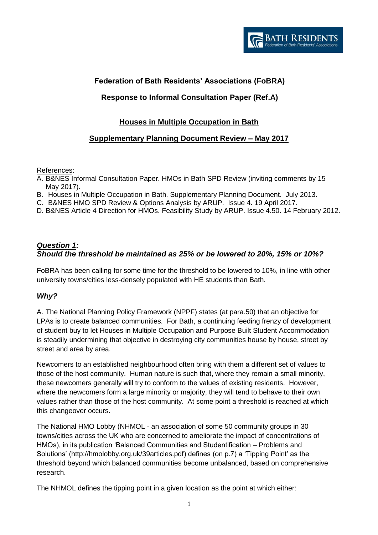# **Federation of Bath Residents' Associations (FoBRA)**

# **Response to Informal Consultation Paper (Ref.A)**

## **Houses in Multiple Occupation in Bath**

# **Supplementary Planning Document Review – May 2017**

#### References:

- A. B&NES Informal Consultation Paper. HMOs in Bath SPD Review (inviting comments by 15 May 2017).
- B. Houses in Multiple Occupation in Bath. Supplementary Planning Document. July 2013.
- C. B&NES HMO SPD Review & Options Analysis by ARUP. Issue 4. 19 April 2017.
- D. B&NES Article 4 Direction for HMOs. Feasibility Study by ARUP. Issue 4.50. 14 February 2012.

### *Question 1: Should the threshold be maintained as 25% or be lowered to 20%, 15% or 10%?*

FoBRA has been calling for some time for the threshold to be lowered to 10%, in line with other university towns/cities less-densely populated with HE students than Bath.

#### *Why?*

A. The National Planning Policy Framework (NPPF) states (at para.50) that an objective for LPAs is to create balanced communities. For Bath, a continuing feeding frenzy of development of student buy to let Houses in Multiple Occupation and Purpose Built Student Accommodation is steadily undermining that objective in destroying city communities house by house, street by street and area by area.

Newcomers to an established neighbourhood often bring with them a different set of values to those of the host community. Human nature is such that, where they remain a small minority, these newcomers generally will try to conform to the values of existing residents. However, where the newcomers form a large minority or majority, they will tend to behave to their own values rather than those of the host community. At some point a threshold is reached at which this changeover occurs.

The National HMO Lobby (NHMOL - an association of some 50 community groups in 30 towns/cities across the UK who are concerned to ameliorate the impact of concentrations of HMOs), in its publication 'Balanced Communities and Studentification – Problems and Solutions' [\(http://hmolobby.org.uk/39articles.pdf\)](http://hmolobby.org.uk/39articles.pdf) defines (on p.7) a 'Tipping Point' as the threshold beyond which balanced communities become unbalanced, based on comprehensive research.

The NHMOL defines the tipping point in a given location as the point at which either: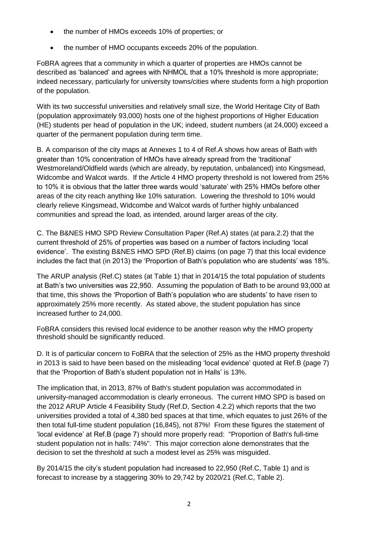- the number of HMOs exceeds 10% of properties; or
- the number of HMO occupants exceeds 20% of the population.

FoBRA agrees that a community in which a quarter of properties are HMOs cannot be described as 'balanced' and agrees with NHMOL that a 10% threshold is more appropriate; indeed necessary, particularly for university towns/cities where students form a high proportion of the population.

With its two successful universities and relatively small size, the World Heritage City of Bath (population approximately 93,000) hosts one of the highest proportions of Higher Education (HE) students per head of population in the UK; indeed, student numbers (at 24,000) exceed a quarter of the permanent population during term time.

B. A comparison of the city maps at Annexes 1 to 4 of Ref.A shows how areas of Bath with greater than 10% concentration of HMOs have already spread from the 'traditional' Westmoreland/Oldfield wards (which are already, by reputation, unbalanced) into Kingsmead, Widcombe and Walcot wards. If the Article 4 HMO property threshold is not lowered from 25% to 10% it is obvious that the latter three wards would 'saturate' with 25% HMOs before other areas of the city reach anything like 10% saturation. Lowering the threshold to 10% would clearly relieve Kingsmead, Widcombe and Walcot wards of further highly unbalanced communities and spread the load, as intended, around larger areas of the city.

C. The B&NES HMO SPD Review Consultation Paper (Ref.A) states (at para.2.2) that the current threshold of 25% of properties was based on a number of factors including 'local evidence'. The existing B&NES HMO SPD (Ref.B) claims (on page 7) that this local evidence includes the fact that (in 2013) the 'Proportion of Bath's population who are students' was 18%.

The ARUP analysis (Ref.C) states (at Table 1) that in 2014/15 the total population of students at Bath's two universities was 22,950. Assuming the population of Bath to be around 93,000 at that time, this shows the 'Proportion of Bath's population who are students' to have risen to approximately 25% more recently. As stated above, the student population has since increased further to 24,000.

FoBRA considers this revised local evidence to be another reason why the HMO property threshold should be significantly reduced.

D. It is of particular concern to FoBRA that the selection of 25% as the HMO property threshold in 2013 is said to have been based on the misleading 'local evidence' quoted at Ref.B (page 7) that the 'Proportion of Bath's student population not in Halls' is 13%.

The implication that, in 2013, 87% of Bath's student population was accommodated in university-managed accommodation is clearly erroneous. The current HMO SPD is based on the 2012 ARUP Article 4 Feasibility Study (Ref.D, Section 4.2.2) which reports that the two universities provided a total of 4,380 bed spaces at that time, which equates to just 26% of the then total full-time student population (16,845), not 87%! From these figures the statement of 'local evidence' at Ref.B (page 7) should more properly read: "Proportion of Bath's full-time student population not in halls: 74%". This major correction alone demonstrates that the decision to set the threshold at such a modest level as 25% was misguided.

By 2014/15 the city's student population had increased to 22,950 (Ref.C, Table 1) and is forecast to increase by a staggering 30% to 29,742 by 2020/21 (Ref.C, Table 2).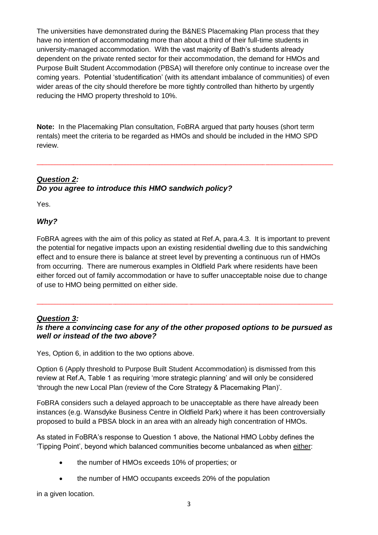The universities have demonstrated during the B&NES Placemaking Plan process that they have no intention of accommodating more than about a third of their full-time students in university-managed accommodation. With the vast majority of Bath's students already dependent on the private rented sector for their accommodation, the demand for HMOs and Purpose Built Student Accommodation (PBSA) will therefore only continue to increase over the coming years. Potential 'studentification' (with its attendant imbalance of communities) of even wider areas of the city should therefore be more tightly controlled than hitherto by urgently reducing the HMO property threshold to 10%.

**Note:** In the Placemaking Plan consultation, FoBRA argued that party houses (short term rentals) meet the criteria to be regarded as HMOs and should be included in the HMO SPD review.

\_\_\_\_\_\_\_\_\_\_\_\_\_\_\_\_\_\_\_\_\_\_\_\_\_\_\_\_\_\_\_\_\_\_\_\_\_\_\_\_\_\_\_\_\_\_\_\_\_\_\_\_\_\_\_\_\_\_\_\_\_\_\_\_\_\_\_\_\_\_\_\_\_\_\_\_\_\_\_\_\_\_\_\_\_\_\_\_\_\_\_\_\_\_\_\_\_\_\_\_\_\_\_\_\_

# *Question 2: Do you agree to introduce this HMO sandwich policy?*

Yes.

## *Why?*

FoBRA agrees with the aim of this policy as stated at Ref.A, para.4.3. It is important to prevent the potential for negative impacts upon an existing residential dwelling due to this sandwiching effect and to ensure there is balance at street level by preventing a continuous run of HMOs from occurring. There are numerous examples in Oldfield Park where residents have been either forced out of family accommodation or have to suffer unacceptable noise due to change of use to HMO being permitted on either side.

## *Question 3:*

### *Is there a convincing case for any of the other proposed options to be pursued as well or instead of the two above?*

\_\_\_\_\_\_\_\_\_\_\_\_\_\_\_\_\_\_\_\_\_\_\_\_\_\_\_\_\_\_\_\_\_\_\_\_\_\_\_\_\_\_\_\_\_\_\_\_\_\_\_\_\_\_\_\_\_\_\_\_\_\_\_\_\_\_\_\_\_\_\_\_\_\_\_\_\_\_\_\_\_\_\_\_\_\_\_\_\_\_\_\_\_\_\_\_\_\_\_\_\_\_\_\_\_

Yes, Option 6, in addition to the two options above.

Option 6 (Apply threshold to Purpose Built Student Accommodation) is dismissed from this review at Ref.A, Table 1 as requiring 'more strategic planning' and will only be considered 'through the new Local Plan (review of the Core Strategy & Placemaking Plan)'.

FoBRA considers such a delayed approach to be unacceptable as there have already been instances (e.g. Wansdyke Business Centre in Oldfield Park) where it has been controversially proposed to build a PBSA block in an area with an already high concentration of HMOs.

As stated in FoBRA's response to Question 1 above, the National HMO Lobby defines the 'Tipping Point', beyond which balanced communities become unbalanced as when either:

- the number of HMOs exceeds 10% of properties; or
- the number of HMO occupants exceeds 20% of the population

in a given location.